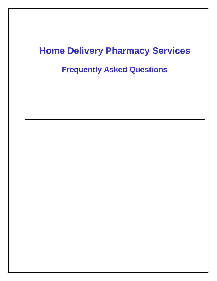# **Home Delivery Pharmacy Services**

**Frequently Asked Questions**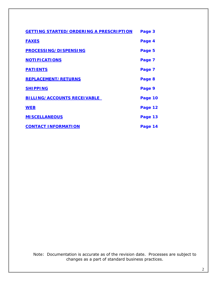| <b>GETTING STARTED/ORDERING A PRESCRIPTION</b> | Page 3  |
|------------------------------------------------|---------|
| <b>FAXES</b>                                   | Page 4  |
| <b>PROCESSING/DISPENSING</b>                   | Page 5  |
| <b>NOTIFICATIONS</b>                           | Page 7  |
| <b>PATIENTS</b>                                | Page 7  |
| <b>REPLACEMENT/RETURNS</b>                     | Page 8  |
| <b>SHIPPING</b>                                | Page 9  |
| <b>BILLING/ACCOUNTS RECEIVABLE</b>             | Page 10 |
| <b>WEB</b>                                     | Page 12 |
| <b>MISCELLANEOUS</b>                           | Page 13 |
| <b>CONTACT INFORMATION</b>                     | Page 14 |

Note: Documentation is accurate as of the revision date. Processes are subject to changes as a part of standard business practices.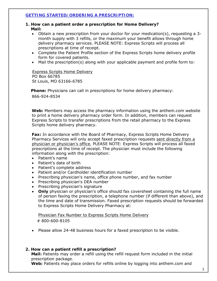# <span id="page-2-0"></span>**GETTING STARTED/ORDERING A PRESCRIPTION:**

# **1. How can a patient order a prescription for Home Delivery? Mail:**

- Obtain a new prescription from your doctor for your medication(s), requesting a 3 month supply with 3 refills, or the maximum your benefit allows through home delivery pharmacy services. PLEASE NOTE: Express Scripts will process all prescriptions at time of receipt.
- Complete the Patient Profile section of the Express Scripts home delivery profile form for covered patients.
- Mail the prescription(s) along with your applicable payment and profile form to:

# Express Scripts Home Delivery PO Box 66785 St Louis, MO 63166-6785

 **Phone:** Physicians can call in prescriptions for home delivery pharmacy: 866-924-8534

**Web:** Members may access the pharmacy information using the anthem.com website to print a home delivery pharmacy order form. In addition, members can request Express Scripts to transfer prescriptions from the retail pharmacy to the Express Scripts home delivery pharmacy.

**Fax:** In accordance with the Board of Pharmacy, Express Scripts Home Delivery Pharmacy Services will only accept faxed prescription requests *sent directly from a physician or physician's office.* PLEASE NOTE: Express Scripts will process all faxed prescriptions at the time of receipt. The physician must include the following information along with the prescription:

- Patient's name
- Patient's date of birth
- Patient's complete address
- Patient and/or Cardholder identification number
- Prescribing physician's name, office phone number, and fax number
- Prescribing physician's DEA number
- Prescribing physician's signature
- **Only** physician or physician's office should fax coversheet containing the full name of person faxing the prescription, a telephone number (if different than above), and the time and date of transmission. Faxed prescription requests should be forwarded to Express Scripts Home Delivery Pharmacy at:

 Physician Fax Number to Express Scripts Home Delivery # 800-600-8105

• Please allow 24-48 business hours for a faxed prescription to be visible.

# **2. How can a patient refill a prescription?**

**Mail:** Patients may order a refill using the refill request form included in the initial prescription package.

**Web:** Patients may place orders for refills online by logging into anthem.com and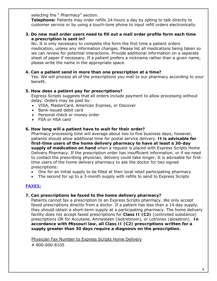selecting the " Pharmacy" section.

**Telephone:** Patients may order refills 24-hours a day by opting to talk directly to customer service or by using a touch-tone phone to input refill orders electronically.

**3. Do new mail order users need to fill out a mail order profile form each time a prescription is sent in?** 

No. It is only necessary to complete this form the first time a patient orders medication, unless any information changes. Please list all medications being taken so we can review for potential interactions. Provide additional information on a separate sheet of paper if necessary. If a patient prefers a nickname rather than a given name, please write the name in the appropriate space.

# **4. Can a patient send in more than one prescription at a time?**

Yes. We will process all of the prescriptions you mail to our pharmacy according to your benefit.

# **5. How does a patient pay for prescriptions?**

Express Scripts suggests that all orders include payment to allow processing without delay. Orders may be paid by:

- VISA, MasterCard, American Express, or Discover
- Bank-issued debit card
- Personal check or money order
- FSA or HSA card

# **6. How long will a patient have to wait for their order?**

Pharmacy processing time will average about two to five business days; however, patients should allow additional time for postal service delivery. **It is advisable for first-time users of the home delivery pharmacy to have at least a 30-day supply of medication on hand** when a request is placed with Express Scripts Home Delivery Pharmacy. If the prescription order has insufficient information, or if we need to contact the prescribing physician, delivery could take longer. It is advisable for firsttime users of the home delivery pharmacy to ask the doctor for two signed prescriptions:

- One for an initial supply to be filled at their local retail participating pharmacy
- The second for up to a 3-month supply with refills to send to Express Scripts

# <span id="page-3-0"></span>**FAXES:**

#### **7. Can prescriptions be faxed to the home delivery pharmacy?**

Patients cannot fax a prescription to an Express Scripts pharmacy. We only accept faxed prescriptions directly from a doctor. If a patient has less than a 14-day supply, they should obtain a short-term supply at a participating pharmacy. The home delivery facility does not accept faxed prescriptions for **Class II (C2)** (controlled substance) prescriptions OR for Accutane, Amnesteen (isotretinoin), or Lotronex (alosetron). **In accordance with Missouri law, all Class II (C2) prescriptions written for a supply greater than 30 days require a diagnosis on the prescription.** 

Physician Fax Number to Express Scripts Home Delivery

# 800-600-8105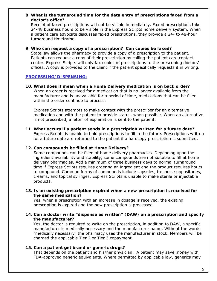# **8. What is the turnaround time for the data entry of prescriptions faxed from a doctor's office?**

Receipt of faxed prescriptions will not be visible immediately. Faxed prescriptions take 24-48 business hours to be visible in the Express Scripts home delivery system. When a patient care advocate discusses faxed prescriptions, they provide a 24- to 48-hour turnaround timeframe.

# **9. Who can request a copy of a prescription? Can copies be faxed?**

State law allows the pharmacy to provide a copy of a prescription to the patient. Patients can request a copy of their prescription by calling the patient care contact center. Express Scripts will only fax copies of prescriptions to the prescribing doctors' offices. A copy is provided to the client if the patient specifically requests it in writing.

# <span id="page-4-0"></span>**PROCESSING/DISPENSING:**

**10. What does it mean when a Home Delivery medication is on back order?**  When an order is received for a medication that is no longer available from the manufacturer and is unavailable for a period of time, medications that can be filled within the order continue to process.

Express Scripts attempts to make contact with the prescriber for an alternative medication and with the patient to provide status, when possible. When an alternative is not prescribed, a letter of explanation is sent to the patient.

**11. What occurs if a patient sends in a prescription written for a future date?** Express Scripts is unable to hold prescriptions to fill in the future. Prescriptions written for a future date are returned to the patient if a hardcopy prescription is submitted.

# **12. Can compounds be filled at Home Delivery?**

Some compounds can be filled at home delivery pharmacies. Depending upon the ingredient availability and stability, some compounds are not suitable to fill at home delivery pharmacies. Add a minimum of three business days to normal turnaround time if Express Scripts requires ordering an ingredient and the product requires hours to compound. Common forms of compounds include capsules, troches, suppositories, creams, and topical syringes. Express Scripts is unable to make sterile or injectable products.

**13. Is an existing prescription expired when a new prescription is received for the same medication?**

Yes, when a prescription with an increase in dosage is received, the existing prescription is expired and the new prescription is processed.

# **14. Can a doctor write "dispense as written" (DAW) on a prescription and specify the manufacturer?**

Yes, the doctor is required to write on the prescription, in addition to DAW, a specific manufacturer is medically necessary and the manufacturer name. Without the words "medically necessary" the pharmacy uses the manufacturer in stock. Members will be charged the applicable Tier 2 or Tier 3 copayment.

#### **15. Can a patient get brand or generic drugs?**

That depends on the patient and his/her physician. A patient may save money with FDA-approved generic equivalents. Where permitted by applicable law, generics may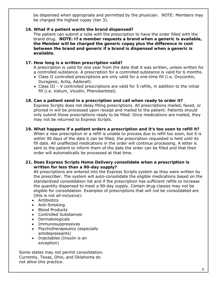be dispensed when appropriate and permitted by the physician. NOTE: Members may be charged the highest copay (tier 3).

# **16. What if a patient wants the brand dispensed?**

The patient can submit a note with the prescription to have the order filled with the brand drug. **NOTE: If a member requests a brand when a generic is available, the Member will be charged the generic copay plus the difference in cost between the brand and generic if a brand is dispensed when a generic is available.**

# **17. How long is a written prescription valid?**

A prescription is valid for one year from the date that it was written, unless written for a controlled substance. A prescription for a controlled substance is valid for 6 months.

- Class II controlled prescriptions are only valid for a one-time fill (i.e. Oxycontin, Duragesic, Actiq, Adderall).
- Class III V controlled prescriptions are valid for 5 refills, in addition to the initial fill (i.e. Valium, Vicodin, Phenobarbital).

# **18. Can a patient send in a prescription and call when ready to order it?**

Express Scripts does not delay filling prescriptions. All prescriptions mailed, faxed, or phoned in will be processed upon receipt and mailed to the patient. Patients should only submit those prescriptions ready to be filled. Once medications are mailed, they may not be returned to Express Scripts.

**19. What happens if a patient orders a prescription and it's too soon to refill it?** When a new prescription or a refill is unable to process due to refill too soon, but it is within 90 days of the date it can be filled, the prescription requested is held until its fill date. All unaffected medications in the order will continue processing. A letter is sent to the patient to inform them of the date the order can be filled and that their order will automatically be processed at that time.

# **21. Does Express Scripts Home Delivery consolidate when a prescription is written for less than a 90-day supply?**

All prescriptions are entered into the Express Scripts system as they were written by the prescriber. The system will auto-consolidate the eligible medications based on the standardized consolidation list and if the prescription has sufficient refills to increase the quantity dispensed to meet a 90-day supply. Certain drug classes may not be eligible for consolidation. Examples of prescriptions that will not be consolidated are (this is not all-inclusive):

- Antibiotics
- Anti-Smoking
- Blood Products
- Controlled Substances
- Dermatologicals
- Immunosuppressives
- Psychotherapeutics (especially antidepressants)
- Injectables (Insulin is an exception)

Some states may not permit consolidation. Currently, Texas, Ohio, and Oklahoma do not allow this practice.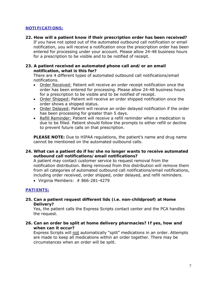# **NOTIFICATIONS:**

**22. How will a patient know if their prescription order has been received?** If you have not opted out of the automated outbound call notification or email notification, you will receive a notification once the prescription order has been entered for processing under your account. Please allow 24-48 business hours for a prescription to be visible and to be notified of receipt.

#### **23. A patient received an automated phone call and/or an email notification, what is this for?**

There are 4 different types of automated outbound call notifications/email notifications.

- Order Received: Patient will receive an order receipt notification once the order has been entered for processing. Please allow 24-48 business hours for a prescription to be visible and to be notified of receipt.
- Order Shipped: Patient will receive an order shipped notification once the order shows a shipped status.
- Order Delayed: Patient will receive an order delayed notification if the order has been processing for greater than 5 days.
- Refill Reminder: Patient will receive a refill reminder when a medication is due to be filled. Patient should follow the prompts to either refill or decline to prevent future calls on that prescription.

**PLEASE NOTE:** Due to HIPAA regulations, the patient's name and drug name cannot be mentioned on the automated outbound calls.

# **24. What can a patient do if he/she no longer wants to receive automated outbound call notifications/email notifications?**

A patient may contact customer service to request removal from the notification distribution. Being removed from this distribution will remove them from all categories of automated outbound call notifications/email notifications, including order received, order shipped, order delayed, and refill reminders.

• Virginia Members:  $#866-281-4279$ 

# <span id="page-6-0"></span>**PATIENTS:**

**25. Can a patient request different lids (i.e. non-childproof) at Home Delivery?** 

Yes, the patient calls the Express Scripts contact center and the PCA handles the request.

**26. Can an order be split at home delivery pharmacies? If yes, how and when can it occur?**

Express Scripts will not automatically "split" medications in an order. Attempts are made to keep all medications within an order together. There may be circumstances when an order will be split.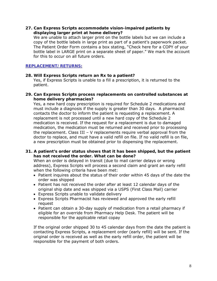# **27. Can Express Scripts accommodate vision-impaired patients by displaying larger print at home delivery?**

We are unable to attach larger print on the bottle labels but we can include a copy of the bottle labels in large print as part of a patient's paperwork packet. The Patient Order Form contains a box stating, "Check here for a COPY of your bottle label in LARGE print on a separate sheet of paper." We mark the account for this to occur on all future orders.

#### <span id="page-7-0"></span>**REPLACEMENT/RETURNS:**

#### **28. Will Express Scripts return an Rx to a patient?**

Yes, if Express Scripts is unable to a fill a prescription, it is returned to the patient.

#### **29. Can Express Scripts process replacements on controlled substances at home delivery pharmacies?**

Yes, a new hard copy prescription is required for Schedule 2 medications and must include a diagnosis if the supply is greater than 30 days. A pharmacist contacts the doctor to inform the patient is requesting a replacement. A replacement is not processed until a new hard copy of the Schedule 2 medication is received. If the request for a replacement is due to damaged medication, the medication must be returned and received prior to processing the replacement. Class III – V replacements require verbal approval from the doctor to replace, and must have a valid refill on file. If no valid refill is on file, a new prescription must be obtained prior to dispensing the replacement.

# **31. A patient's order status shows that it has been shipped, but the patient has not received the order. What can be done?**

When an order is delayed in transit (due to mail carrier delays or wrong address), Express Scripts will process a second claim and grant an early refill when the following criteria have been met:

- Patient inquires about the status of their order within 45 days of the date the order was shipped
- Patient has not received the order after at least 12 calendar days of the original ship date and was shipped via a USPS (First Class Mail) carrier
- Express Scripts unable to validate delivery
- Express Scripts Pharmacist has reviewed and approved the early refill request
- Patient can obtain a 30-day supply of medication from a retail pharmacy if eligible for an override from Pharmacy Help Desk. The patient will be responsible for the applicable retail copay

If the original order shipped 30 to 45 calendar days from the date the patient is contacting Express Scripts, a replacement order (early refill) will be sent. If the original order is received as well as the early refill order, the patient will be responsible for the payment of both orders.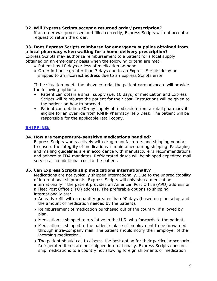#### **32. Will Express Scripts accept a returned order/prescription?**

If an order was processed and filled correctly, Express Scripts will not accept a request to return the order.

**33. Does Express Scripts reimburse for emergency supplies obtained from a local pharmacy when waiting for a home delivery prescription?**  Express Scripts may authorize reimbursement to a patient for a local supply obtained on an emergency basis when the following criteria are met:

- Patient has 10 days or less of medication on hand
- Order in-house greater than 7 days due to an Express Scripts delay or shipped to an incorrect address due to an Express Scripts error

If the situation meets the above criteria, the patient care advocate will provide the following options:

- Patient can obtain a small supply (i.e. 10 days) of medication and Express Scripts will reimburse the patient for their cost. Instructions will be given to the patient on how to proceed.
- Patient can obtain a 30-day supply of medication from a retail pharmacy if eligible for an override from RMHP Pharmacy Help Desk. The patient will be responsible for the applicable retail copay.

# <span id="page-8-0"></span>**SHIPPING:**

# **34. How are temperature-sensitive medications handled?**

Express Scripts works actively with drug manufacturers and shipping vendors to ensure the integrity of medications is maintained during shipping. Packaging and mailing guidelines are in accordance with manufacturer's recommendations and adhere to FDA mandates. Refrigerated drugs will be shipped expedited mail service at no additional cost to the patient.

#### **35. Can Express Scripts ship medications internationally?**

Medications are not typically shipped internationally. Due to the unpredictability of international shipments, Express Scripts will only ship a medication internationally if the patient provides an American Post Office (APO) address or a Fleet Post Office (FPO) address. The preferable options to shipping internationally are:

- An early refill with a quantity greater than 90 days (based on plan setup and the amount of medication needed by the patient).
- Reimbursement of medication purchased out of the country, if allowed by plan.
- Medication is shipped to a relative in the U.S. who forwards to the patient.
- Medication is shipped to the patient's place of employment to be forwarded through intra-company mail. The patient should notify their employer of the incoming medication.
- The patient should call to discuss the best option for their particular scenario. Refrigerated items are not shipped internationally. Express Scripts does not ship medications to a country not allowing foreign shipments of medication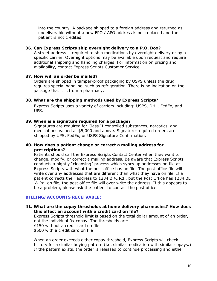into the country. A package shipped to a foreign address and returned as undeliverable without a new FPO / APO address is not replaced and the patient is not credited.

#### **36. Can Express Scripts ship overnight delivery to a P.O. Box?**

A street address is required to ship medications by overnight delivery or by a specific carrier. Overnight options may be available upon request and require additional shipping and handling charges. For information on pricing and availability, contact Express Scripts Customer Service.

#### **37. How will an order be mailed?**

 Orders are shipped in tamper-proof packaging by USPS unless the drug requires special handling, such as refrigeration. There is no indication on the package that it is from a pharmacy.

#### **38. What are the shipping methods used by Express Scripts?**

Express Scripts uses a variety of carriers including: USPS, DHL, FedEx, and UPS.

#### **39. When is a signature required for a package?**

Signatures are required for Class II controlled substances, narcotics, and medications valued at \$5,000 and above. Signature-required orders are shipped by UPS, FedEx, or USPS Signature Confirmation.

#### **40. How does a patient change or correct a mailing address for prescriptions?**

Patients should call the Express Scripts Contact Center when they want to change, modify, or correct a mailing address. Be aware that Express Scripts conducts a nightly "cleansing" process which syncs up addresses on file at Express Scripts with what the post office has on file. The post office file will write over any addresses that are different than what they have on file. If a patient corrects their address to 1234 B ½ Rd., but the Post Office has 1234 BE  $\frac{1}{2}$  Rd. on file, the post office file will over write the address. If this appears to be a problem, please ask the patient to contact the post office.

#### <span id="page-9-0"></span>**BILLING/ACCOUNTS RECEIVABLE:**

**41. What are the copay thresholds at home delivery pharmacies? How does this affect an account with a credit card on file?** Express Scripts threshold limit is based on the total dollar amount of an order, not the individual Rx copay. The thresholds are: \$150 without a credit card on file \$500 with a credit card on file

When an order exceeds either copay threshold, Express Scripts will check history for a similar buying pattern (i.e. similar medication with similar copays.) If the pattern exists, the order is released to continue processing and either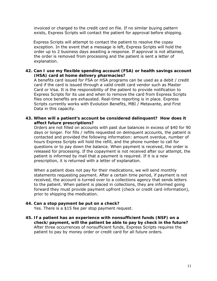invoiced or charged to the credit card on file. If no similar buying pattern exists, Express Scripts will contact the patient for approval before shipping.

Express Scripts will attempt to contact the patient to resolve the copay exception. In the event that a message is left, Express Scripts will hold the order up to 2 business days awaiting a response. If approval is not attained, the order is removed from processing and the patient is sent a letter of explanation.

#### **42. Can I use my flexible spending account (FSA) or health savings account (HSA) card at home delivery pharmacies?**

A benefits card issued for FSA or HSA programs can be used as a debit / credit card if the card is issued through a valid credit card vendor such as Master Card or Visa. It is the responsibility of the patient to provide notification to Express Scripts for its use and when to remove the card from Express Scripts files once benefits are exhausted. Real-time reporting is in place. Express Scripts currently works with Evolution Benefits, MBI / Metavante, and First Data in this capacity.

# **43. When will a patient's account be considered delinquent? How does it affect future prescriptions?**

Orders are not filled on accounts with past due balances in excess of \$40 for 90 days or longer. For fills / refills requested on delinquent accounts, the patient is contacted and provided the following information: amount overdue, number of hours Express Scripts will hold the refill, and the phone number to call for questions or to pay down the balance. When payment is received, the order is released for processing. If the copayment is not received after our attempt, the patient is informed by mail that a payment is required. If it is a new prescription, it is returned with a letter of explanation.

When a patient does not pay for their medications, we will send monthly statements requesting payment. After a certain time period, if payment is not received, the account is turned over to a collections agency that sends letters to the patient. When patient is placed in collections, they are informed going forward they must provide payment upfront (check or credit card information), prior to shipping the medication.

# **44. Can a stop payment be put on a check?**

Yes. There is a \$15 fee per stop payment request.

**45. If a patient has an experience with nonsufficient funds (NSF) on a check/payment, will the patient be able to pay by check in the future?** After three occurrences of nonsufficient funds, Express Scripts requires the patient to pay by money order or credit card for all future orders.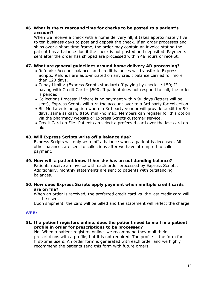#### **46. What is the turnaround time for checks to be posted to a patient's account?**

When we receive a check with a home delivery fill, it takes approximately five to ten business days to post and deposit the check. If an order processes and ships over a short time frame, the order may contain an invoice stating the patient has a balance due if the check is not posted and deposited. Payments sent after the order has shipped are processed within 48 hours of receipt.

# **47. What are general guidelines around home delivery AR processing?**

- Refunds: Account balances and credit balances will transfer to Express Scripts. Refunds are auto-initiated on any credit balance carried for more than 120 days.
- Copay Limits: (Express Scripts standard) If paying by check \$150; If paying with Credit Card - \$500; If patient does not respond to call, the order is pended.
- Collections Process: If there is no payment within 90 days (letters will be sent), Express Scripts will turn the account over to a 3rd party for collection.
- Bill Me Later is an option where a 3rd party vendor will provide credit for 90 days, same as cash. \$150 min./no max. Members can register for this option via the pharmacy website or Express Scripts customer service.
- Credit Card on File: Patient can select a preferred card over the last card on file.

#### **48. Will Express Scripts write off a balance due?**

Express Scripts will only write off a balance when a patient is deceased. All other balances are sent to collections after we have attempted to collect payment.

- **49. How will a patient know if he/she has an outstanding balance?** Patients receive an invoice with each order processed by Express Scripts. Additionally, monthly statements are sent to patients with outstanding balances.
- **50. How does Express Scripts apply payment when multiple credit cards are on file?**

When an order is received, the preferred credit card vs. the last credit card will be used.

Upon shipment, the card will be billed and the statement will reflect the charge.

#### <span id="page-11-0"></span>**WEB:**

**51. If a patient registers online, does the patient need to mail in a patient profile in order for prescriptions to be processed?**

No. When a patient registers online, we recommend they mail their prescriptions with a profile, but it is not required. The profile is the form for first-time users. An order form is generated with each order and we highly recommend the patients send this form with future orders.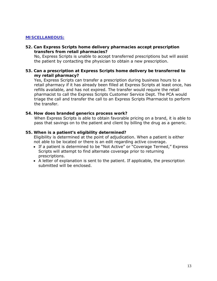# <span id="page-12-0"></span>**MISCELLANEOUS:**

#### **52. Can Express Scripts home delivery pharmacies accept prescription transfers from retail pharmacies?**

No, Express Scripts is unable to accept transferred prescriptions but will assist the patient by contacting the physician to obtain a new prescription.

#### **53. Can a prescription at Express Scripts home delivery be transferred to my retail pharmacy?**

Yes, Express Scripts can transfer a prescription during business hours to a retail pharmacy if it has already been filled at Express Scripts at least once, has refills available, and has not expired. The transfer would require the retail pharmacist to call the Express Scripts Customer Service Dept. The PCA would triage the call and transfer the call to an Express Scripts Pharmacist to perform the transfer.

#### **54. How does branded generics process work?**

When Express Scripts is able to obtain favorable pricing on a brand, it is able to pass that savings on to the patient and client by billing the drug as a generic.

#### **55. When is a patient's eligibility determined?**

Eligibility is determined at the point of adjudication. When a patient is either not able to be located or there is an edit regarding active coverage.

- If a patient is determined to be "Not Active" or "Coverage Termed," Express Scripts will attempt to find alternate coverage prior to returning prescriptions.
- <span id="page-12-1"></span>• A letter of explanation is sent to the patient. If applicable, the prescription submitted will be enclosed.